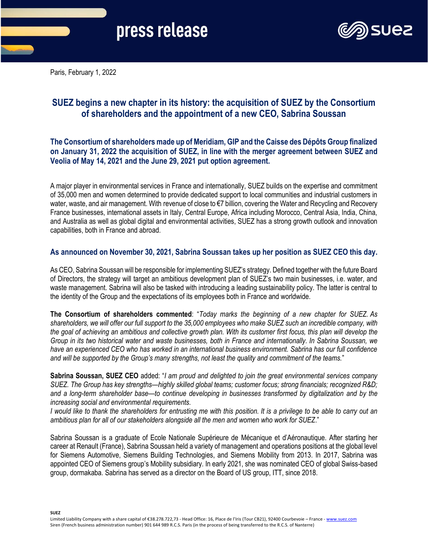

Paris, February 1, 2022

## **SUEZ begins a new chapter in its history: the acquisition of SUEZ by the Consortium of shareholders and the appointment of a new CEO, Sabrina Soussan**

**The Consortium of shareholders made up of Meridiam, GIP and the Caisse des Dépôts Group finalized on January 31, 2022 the acquisition of SUEZ, in line with the merger agreement between SUEZ and Veolia of May 14, 2021 and the June 29, 2021 put option agreement.**

A major player in environmental services in France and internationally, SUEZ builds on the expertise and commitment of 35,000 men and women determined to provide dedicated support to local communities and industrial customers in water, waste, and air management. With revenue of close to €7 billion, covering the Water and Recycling and Recovery France businesses, international assets in Italy, Central Europe, Africa including Morocco, Central Asia, India, China, and Australia as well as global digital and environmental activities, SUEZ has a strong growth outlook and innovation capabilities, both in France and abroad.

## **As announced on November 30, 2021, Sabrina Soussan takes up her position as SUEZ CEO this day.**

As CEO, Sabrina Soussan will be responsible for implementing SUEZ's strategy. Defined together with the future Board of Directors, the strategy will target an ambitious development plan of SUEZ's two main businesses, i.e. water, and waste management. Sabrina will also be tasked with introducing a leading sustainability policy. The latter is central to the identity of the Group and the expectations of its employees both in France and worldwide.

**The Consortium of shareholders commented**: "*Today marks the beginning of a new chapter for SUEZ. As shareholders, we will offer our full support to the 35,000 employees who make SUEZ such an incredible company, with the goal of achieving an ambitious and collective growth plan. With its customer first focus, this plan will develop the Group in its two historical water and waste businesses, both in France and internationally. In Sabrina Soussan, we have an experienced CEO who has worked in an international business environment. Sabrina has our full confidence and will be supported by the Group's many strengths, not least the quality and commitment of the teams.*"

**Sabrina Soussan, SUEZ CEO** added: "*I am proud and delighted to join the great environmental services company SUEZ. The Group has key strengths—highly skilled global teams; customer focus; strong financials; recognized R&D; and a long-term shareholder base—to continue developing in businesses transformed by digitalization and by the increasing social and environmental requirements.*

*I would like to thank the shareholders for entrusting me with this position. It is a privilege to be able to carry out an ambitious plan for all of our stakeholders alongside all the men and women who work for SUEZ*."

Sabrina Soussan is a graduate of Ecole Nationale Supérieure de Mécanique et d'Aéronautique. After starting her career at Renault (France), Sabrina Soussan held a variety of management and operations positions at the global level for Siemens Automotive, Siemens Building Technologies, and Siemens Mobility from 2013. In 2017, Sabrina was appointed CEO of Siemens group's Mobility subsidiary. In early 2021, she was nominated CEO of global Swiss-based group, dormakaba. Sabrina has served as a director on the Board of US group, ITT, since 2018.